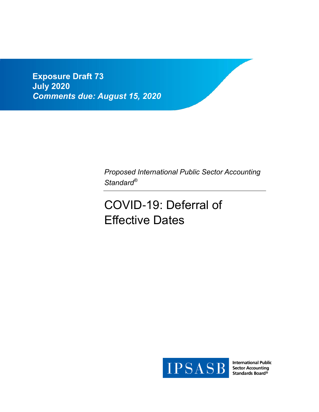**Exposure Draft 73 July 2020** *Comments due: August 15, 2020*

> *Proposed International Public Sector Accounting Standard®*

# COVID-19: Deferral of Effective Dates



**International Public Sector Accounting** Standards Board®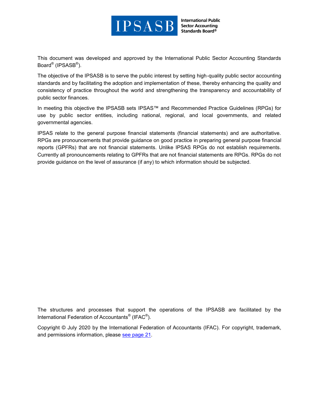

**International Public Sector Accounting** Standards Board®

This document was developed and approved by the International Public Sector Accounting Standards Board<sup>®</sup> (IPSASB<sup>®</sup>).

The objective of the IPSASB is to serve the public interest by setting high-quality public sector accounting standards and by facilitating the adoption and implementation of these, thereby enhancing the quality and consistency of practice throughout the world and strengthening the transparency and accountability of public sector finances.

In meeting this objective the IPSASB sets IPSAS™ and Recommended Practice Guidelines (RPGs) for use by public sector entities, including national, regional, and local governments, and related governmental agencies.

IPSAS relate to the general purpose financial statements (financial statements) and are authoritative. RPGs are pronouncements that provide guidance on good practice in preparing general purpose financial reports (GPFRs) that are not financial statements. Unlike IPSAS RPGs do not establish requirements. Currently all pronouncements relating to GPFRs that are not financial statements are RPGs. RPGs do not provide guidance on the level of assurance (if any) to which information should be subjected.

The structures and processes that support the operations of the IPSASB are facilitated by the International Federation of Accountants $^\circ$  (IFAC $^\circ$ ).

Copyright © July 2020 by the International Federation of Accountants (IFAC). For copyright, trademark, and permissions information, please see [page 21.](#page-20-0)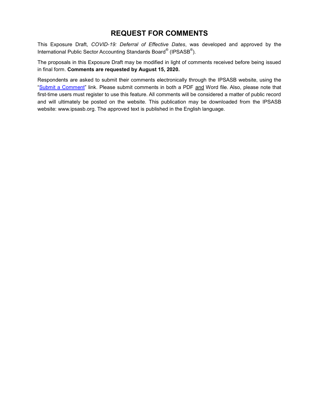### **REQUEST FOR COMMENTS**

This Exposure Draft, *COVID-19: Deferral of Effective Dates*, was developed and approved by the International Public Sector Accounting Standards Board<sup>®</sup> (IPSASB<sup>®</sup>).

The proposals in this Exposure Draft may be modified in light of comments received before being issued in final form. **Comments are requested by August 15, 2020.**

Respondents are asked to submit their comments electronically through the IPSASB website, using the ["Submit a Comment"](http://www.ifac.org/publications-resources/recommended-practice-guideline-reporting-long-term-sustainability-public-sect) link. Please submit comments in both a PDF and Word file. Also, please note that first-time users must register to use this feature. All comments will be considered a matter of public record and will ultimately be posted on the website. This publication may be downloaded from the IPSASB website: www.ipsasb.org. The approved text is published in the English language.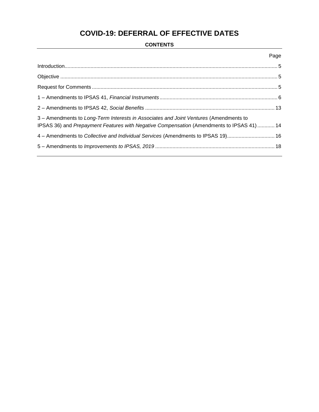# **COVID-19: DEFERRAL OF EFFECTIVE DATES**

#### **CONTENTS**

|                                                                                                                                                                                    | Page |
|------------------------------------------------------------------------------------------------------------------------------------------------------------------------------------|------|
|                                                                                                                                                                                    |      |
|                                                                                                                                                                                    |      |
|                                                                                                                                                                                    |      |
|                                                                                                                                                                                    |      |
|                                                                                                                                                                                    |      |
| 3 - Amendments to Long-Term Interests in Associates and Joint Ventures (Amendments to<br>IPSAS 36) and Prepayment Features with Negative Compensation (Amendments to IPSAS 41)  14 |      |
| 4 - Amendments to Collective and Individual Services (Amendments to IPSAS 19) 16                                                                                                   |      |
|                                                                                                                                                                                    |      |
|                                                                                                                                                                                    |      |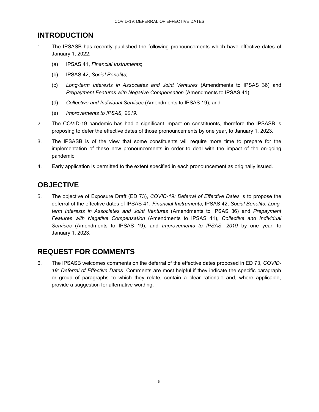## <span id="page-4-0"></span>**INTRODUCTION**

- 1. The IPSASB has recently published the following pronouncements which have effective dates of January 1, 2022:
	- (a) IPSAS 41, *Financial Instruments*;
	- (b) IPSAS 42, *Social Benefits*;
	- (c) *Long-term Interests in Associates and Joint Ventures* (Amendments to IPSAS 36) and *Prepayment Features with Negative Compensation* (Amendments to IPSAS 41);
	- (d) *Collective and Individual Services* (Amendments to IPSAS 19); and
	- (e) *Improvements to IPSAS, 2019*.
- 2. The COVID-19 pandemic has had a significant impact on constituents, therefore the IPSASB is proposing to defer the effective dates of those pronouncements by one year, to January 1, 2023.
- 3. The IPSASB is of the view that some constituents will require more time to prepare for the implementation of these new pronouncements in order to deal with the impact of the on-going pandemic.
- 4. Early application is permitted to the extent specified in each pronouncement as originally issued.

# <span id="page-4-1"></span>**OBJECTIVE**

5. The objective of Exposure Draft (ED 73), *COVID-19: Deferral of Effective Dates* is to propose the deferral of the effective dates of IPSAS 41, *Financial Instruments*, IPSAS 42, *Social Benefits*, *Longterm Interests in Associates and Joint Ventures* (Amendments to IPSAS 36) and *Prepayment Features with Negative Compensation* (Amendments to IPSAS 41), *Collective and Individual Services* (Amendments to IPSAS 19), and *Improvements to IPSAS, 2019* by one year, to January 1, 2023.

### <span id="page-4-2"></span>**REQUEST FOR COMMENTS**

6. The IPSASB welcomes comments on the deferral of the effective dates proposed in ED 73, *COVID-19: Deferral of Effective Dates*. Comments are most helpful if they indicate the specific paragraph or group of paragraphs to which they relate, contain a clear rationale and, where applicable, provide a suggestion for alternative wording.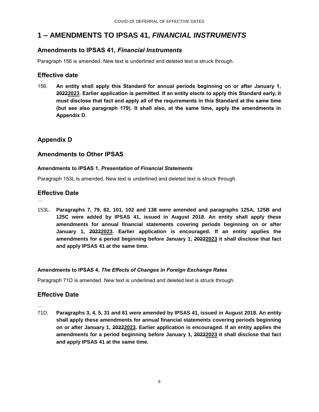# <span id="page-5-0"></span>**1 – AMENDMENTS TO IPSAS 41,** *FINANCIAL INSTRUMENTS*

#### **Amendments to IPSAS 41,** *Financial Instruments*

Paragraph 156 is amended. New text is underlined and deleted text is struck through.

#### **Effective date**

156. **An entity shall apply this Standard for annual periods beginning on or after January 1, 20222023. Earlier application is permitted. If an entity elects to apply this Standard early, it must disclose that fact and apply all of the requirements in this Standard at the same time (but see also paragraph 179). It shall also, at the same time, apply the amendments in Appendix D.**

### **Appendix D**

#### **Amendments to Other IPSAS**

#### **Amendments to IPSAS 1,** *Presentation of Financial Statements*

Paragraph 153L is amended. New text is underlined and deleted text is struck through.

#### **Effective Date**

…

153L. **Paragraphs 7, 79, 82, 101, 102 and 138 were amended and paragraphs 125A, 125B and 125C were added by IPSAS 41, issued in August 2018. An entity shall apply these amendments for annual financial statements covering periods beginning on or after January 1, 20222023. Earlier application is encouraged. If an entity applies the amendments for a period beginning before January 1, 20222023 it shall disclose that fact and apply IPSAS 41 at the same time.**

#### **Amendments to IPSAS 4,** *The Effects of Changes in Foreign Exchange Rates*

Paragraph 71D is amended. New text is underlined and deleted text is struck through.

#### **Effective Date**

…

71D. **Paragraphs 3, 4, 5, 31 and 61 were amended by IPSAS 41, issued in August 2018. An entity shall apply these amendments for annual financial statements covering periods beginning on or after January 1, 20222023. Earlier application is encouraged. If an entity applies the amendments for a period beginning before January 1, 20222023 it shall disclose that fact and apply IPSAS 41 at the same time.**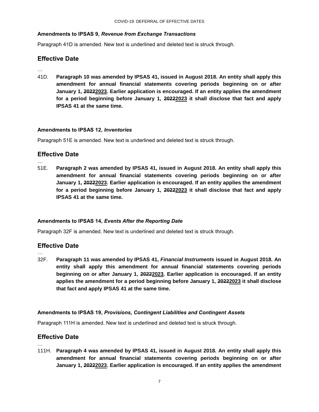#### **Amendments to IPSAS 9,** *Revenue from Exchange Transactions*

Paragraph 41D is amended. New text is underlined and deleted text is struck through.

#### **Effective Date**

…

…

41D. **Paragraph 10 was amended by IPSAS 41, issued in August 2018. An entity shall apply this amendment for annual financial statements covering periods beginning on or after January 1, 20222023. Earlier application is encouraged. If an entity applies the amendment for a period beginning before January 1, 20222023 it shall disclose that fact and apply IPSAS 41 at the same time.**

#### **Amendments to IPSAS 12,** *Inventories*

Paragraph 51E is amended. New text is underlined and deleted text is struck through.

#### **Effective Date**

51E. **Paragraph 2 was amended by IPSAS 41, issued in August 2018. An entity shall apply this amendment for annual financial statements covering periods beginning on or after January 1, 20222023. Earlier application is encouraged. If an entity applies the amendment for a period beginning before January 1, 20222023 it shall disclose that fact and apply IPSAS 41 at the same time.**

#### **Amendments to IPSAS 14,** *Events After the Reporting Date*

Paragraph 32F is amended. New text is underlined and deleted text is struck through.

#### **Effective Date**

…

32F. **Paragraph 11 was amended by IPSAS 41,** *Financial Instruments* **issued in August 2018. An entity shall apply this amendment for annual financial statements covering periods beginning on or after January 1, 20222023. Earlier application is encouraged. If an entity applies the amendment for a period beginning before January 1, 20222023 it shall disclose that fact and apply IPSAS 41 at the same time.**

#### **Amendments to IPSAS 19,** *Provisions, Contingent Liabilities and Contingent Assets*

Paragraph 111H is amended. New text is underlined and deleted text is struck through.

#### **Effective Date**

…

111H. **Paragraph 4 was amended by IPSAS 41, issued in August 2018. An entity shall apply this amendment for annual financial statements covering periods beginning on or after January 1, 20222023. Earlier application is encouraged. If an entity applies the amendment**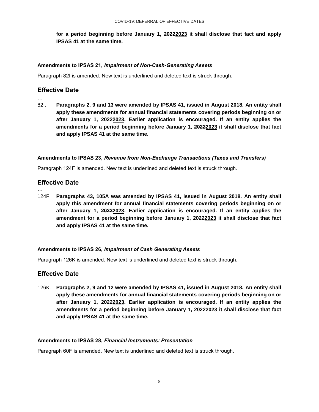**for a period beginning before January 1, 20222023 it shall disclose that fact and apply IPSAS 41 at the same time.**

#### **Amendments to IPSAS 21,** *Impairment of Non-Cash-Generating Assets*

Paragraph 82I is amended. New text is underlined and deleted text is struck through.

#### **Effective Date**

- …
- 82I. **Paragraphs 2, 9 and 13 were amended by IPSAS 41, issued in August 2018. An entity shall apply these amendments for annual financial statements covering periods beginning on or after January 1, 20222023. Earlier application is encouraged. If an entity applies the amendments for a period beginning before January 1, 20222023 it shall disclose that fact and apply IPSAS 41 at the same time.**

#### **Amendments to IPSAS 23,** *Revenue from Non-Exchange Transactions (Taxes and Transfers)*

Paragraph 124F is amended. New text is underlined and deleted text is struck through.

#### **Effective Date**

…

…

124F. **Paragraphs 43, 105A was amended by IPSAS 41, issued in August 2018. An entity shall apply this amendment for annual financial statements covering periods beginning on or after January 1, 20222023. Earlier application is encouraged. If an entity applies the amendment for a period beginning before January 1, 20222023 it shall disclose that fact and apply IPSAS 41 at the same time.**

#### **Amendments to IPSAS 26,** *Impairment of Cash Generating Assets*

Paragraph 126K is amended. New text is underlined and deleted text is struck through.

#### **Effective Date**

126K. **Paragraphs 2, 9 and 12 were amended by IPSAS 41, issued in August 2018. An entity shall apply these amendments for annual financial statements covering periods beginning on or after January 1, 20222023. Earlier application is encouraged. If an entity applies the amendments for a period beginning before January 1, 20222023 it shall disclose that fact and apply IPSAS 41 at the same time.**

#### **Amendments to IPSAS 28,** *Financial Instruments: Presentation*

Paragraph 60F is amended. New text is underlined and deleted text is struck through.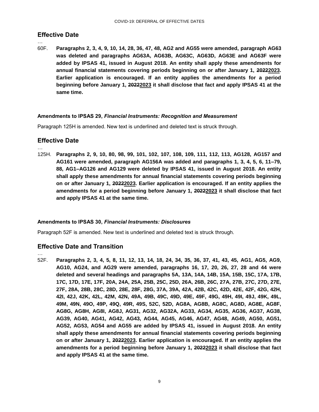#### **Effective Date**

…

60F. **Paragraphs 2, 3, 4, 9, 10, 14, 28, 36, 47, 48, AG2 and AG55 were amended, paragraph AG63 was deleted and paragraphs AG63A, AG63B, AG63C, AG63D, AG63E and AG63F were added by IPSAS 41, issued in August 2018. An entity shall apply these amendments for annual financial statements covering periods beginning on or after January 1, 20222023. Earlier application is encouraged. If an entity applies the amendments for a period beginning before January 1, 20222023 it shall disclose that fact and apply IPSAS 41 at the same time.**

#### **Amendments to IPSAS 29,** *Financial Instruments: Recognition and Measurement*

Paragraph 125H is amended. New text is underlined and deleted text is struck through.

#### **Effective Date**

…

125H. **Paragraphs 2, 9, 10, 80, 98, 99, 101, 102, 107, 108, 109, 111, 112, 113, AG128, AG157 and AG161 were amended, paragraph AG156A was added and paragraphs 1, 3, 4, 5, 6, 11–79, 88, AG1–AG126 and AG129 were deleted by IPSAS 41, issued in August 2018. An entity shall apply these amendments for annual financial statements covering periods beginning on or after January 1, 20222023. Earlier application is encouraged. If an entity applies the amendments for a period beginning before January 1, 20222023 it shall disclose that fact and apply IPSAS 41 at the same time.**

#### **Amendments to IPSAS 30,** *Financial Instruments: Disclosures*

Paragraph 52F is amended. New text is underlined and deleted text is struck through.

#### **Effective Date and Transition**

…

52F. **Paragraphs 2, 3, 4, 5, 8, 11, 12, 13, 14, 18, 24, 34, 35, 36, 37, 41, 43, 45, AG1, AG5, AG9, AG10, AG24, and AG29 were amended, paragraphs 16, 17, 20, 26, 27, 28 and 44 were deleted and several headings and paragraphs 5A, 13A, 14A, 14B, 15A, 15B, 15C, 17A, 17B, 17C, 17D, 17E, 17F, 20A, 24A, 25A, 25B, 25C, 25D, 26A, 26B, 26C, 27A, 27B, 27C, 27D, 27E, 27F, 28A, 28B, 28C, 28D, 28E, 28F, 28G, 37A, 39A, 42A, 42B, 42C, 42D, 42E, 42F, 42G, 42H, 42I, 42J, 42K, 42L, 42M, 42N, 49A, 49B, 49C, 49D, 49E, 49F, 49G, 49H, 49I, 49J, 49K, 49L, 49M, 49N, 49O, 49P, 49Q, 49R, 49S, 52C, 52D, AG8A, AG8B, AG8C, AG8D, AG8E, AG8F, AG8G, AG8H, AG8I, AG8J, AG31, AG32, AG32A, AG33, AG34, AG35, AG36, AG37, AG38, AG39, AG40, AG41, AG42, AG43, AG44, AG45, AG46, AG47, AG48, AG49, AG50, AG51, AG52, AG53, AG54 and AG55 are added by IPSAS 41, issued in August 2018. An entity shall apply these amendments for annual financial statements covering periods beginning on or after January 1, 20222023. Earlier application is encouraged. If an entity applies the amendments for a period beginning before January 1, 20222023 it shall disclose that fact and apply IPSAS 41 at the same time.**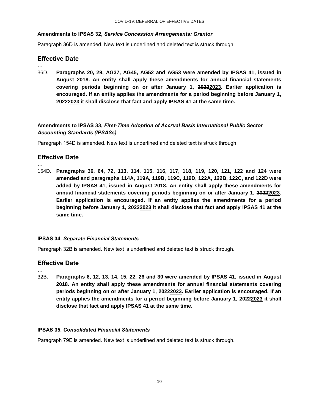#### **Amendments to IPSAS 32,** *Service Concession Arrangements: Grantor*

Paragraph 36D is amended. New text is underlined and deleted text is struck through.

#### **Effective Date**

…

…

36D. **Paragraphs 20, 29, AG37, AG45, AG52 and AG53 were amended by IPSAS 41, issued in August 2018. An entity shall apply these amendments for annual financial statements covering periods beginning on or after January 1, 20222023. Earlier application is encouraged. If an entity applies the amendments for a period beginning before January 1, 20222023 it shall disclose that fact and apply IPSAS 41 at the same time.**

#### **Amendments to IPSAS 33,** *First-Time Adoption of Accrual Basis International Public Sector Accounting Standards (IPSASs)*

Paragraph 154D is amended. New text is underlined and deleted text is struck through.

#### **Effective Date**

154D. **Paragraphs 36, 64, 72, 113, 114, 115, 116, 117, 118, 119, 120, 121, 122 and 124 were amended and paragraphs 114A, 119A, 119B, 119C, 119D, 122A, 122B, 122C, and 122D were added by IPSAS 41, issued in August 2018. An entity shall apply these amendments for annual financial statements covering periods beginning on or after January 1, 20222023. Earlier application is encouraged. If an entity applies the amendments for a period beginning before January 1, 20222023 it shall disclose that fact and apply IPSAS 41 at the same time.**

#### **IPSAS 34,** *Separate Financial Statements*

Paragraph 32B is amended. New text is underlined and deleted text is struck through.

#### **Effective Date**

- …
- 32B. **Paragraphs 6, 12, 13, 14, 15, 22, 26 and 30 were amended by IPSAS 41, issued in August 2018. An entity shall apply these amendments for annual financial statements covering periods beginning on or after January 1, 20222023. Earlier application is encouraged. If an entity applies the amendments for a period beginning before January 1, 20222023 it shall disclose that fact and apply IPSAS 41 at the same time.**

#### **IPSAS 35,** *Consolidated Financial Statements*

Paragraph 79E is amended. New text is underlined and deleted text is struck through.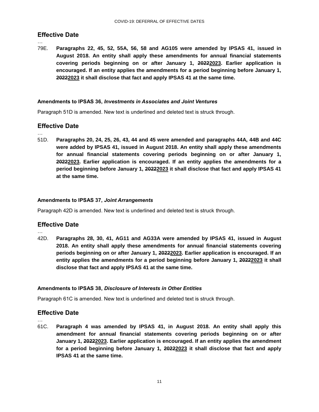#### **Effective Date**

…

…

79E. **Paragraphs 22, 45, 52, 55A, 56, 58 and AG105 were amended by IPSAS 41, issued in August 2018. An entity shall apply these amendments for annual financial statements covering periods beginning on or after January 1, 20222023. Earlier application is encouraged. If an entity applies the amendments for a period beginning before January 1, 20222023 it shall disclose that fact and apply IPSAS 41 at the same time.**

#### **Amendments to IPSAS 36,** *Investments in Associates and Joint Ventures*

Paragraph 51D is amended. New text is underlined and deleted text is struck through.

#### **Effective Date**

51D. **Paragraphs 20, 24, 25, 26, 43, 44 and 45 were amended and paragraphs 44A, 44B and 44C were added by IPSAS 41, issued in August 2018. An entity shall apply these amendments for annual financial statements covering periods beginning on or after January 1, 20222023. Earlier application is encouraged. If an entity applies the amendments for a period beginning before January 1, 20222023 it shall disclose that fact and apply IPSAS 41 at the same time.**

#### **Amendments to IPSAS 37,** *Joint Arrangements*

Paragraph 42D is amended. New text is underlined and deleted text is struck through.

#### **Effective Date**

… 42D. **Paragraphs 28, 30, 41, AG11 and AG33A were amended by IPSAS 41, issued in August 2018. An entity shall apply these amendments for annual financial statements covering periods beginning on or after January 1, 20222023. Earlier application is encouraged. If an entity applies the amendments for a period beginning before January 1, 20222023 it shall disclose that fact and apply IPSAS 41 at the same time.**

#### **Amendments to IPSAS 38,** *Disclosure of Interests in Other Entities*

Paragraph 61C is amended. New text is underlined and deleted text is struck through.

#### **Effective Date**

…

61C. **Paragraph 4 was amended by IPSAS 41, in August 2018. An entity shall apply this amendment for annual financial statements covering periods beginning on or after January 1, 20222023. Earlier application is encouraged. If an entity applies the amendment for a period beginning before January 1, 20222023 it shall disclose that fact and apply IPSAS 41 at the same time.**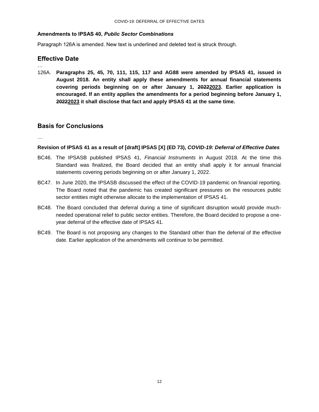#### **Amendments to IPSAS 40,** *Public Sector Combinations*

Paragraph 126A is amended. New text is underlined and deleted text is struck through.

#### **Effective Date**

126A. **Paragraphs 25, 45, 70, 111, 115, 117 and AG88 were amended by IPSAS 41, issued in August 2018. An entity shall apply these amendments for annual financial statements covering periods beginning on or after January 1, 20222023. Earlier application is encouraged. If an entity applies the amendments for a period beginning before January 1, 20222023 it shall disclose that fact and apply IPSAS 41 at the same time.**

#### **Basis for Conclusions**

…

…

#### **Revision of IPSAS 41 as a result of [draft] IPSAS [X] (ED 73),** *COVID-19: Deferral of Effective Dates*

- BC46. The IPSASB published IPSAS 41, *Financial Instruments* in August 2018*.* At the time this Standard was finalized, the Board decided that an entity shall apply it for annual financial statements covering periods beginning on or after January 1, 2022.
- BC47. In June 2020, the IPSASB discussed the effect of the COVID-19 pandemic on financial reporting. The Board noted that the pandemic has created significant pressures on the resources public sector entities might otherwise allocate to the implementation of IPSAS 41.
- BC48. The Board concluded that deferral during a time of significant disruption would provide muchneeded operational relief to public sector entities. Therefore, the Board decided to propose a oneyear deferral of the effective date of IPSAS 41.
- BC49. The Board is not proposing any changes to the Standard other than the deferral of the effective date. Earlier application of the amendments will continue to be permitted.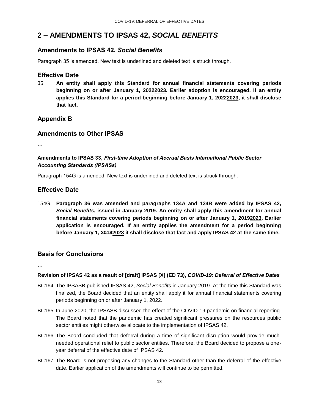### <span id="page-12-0"></span>**2 – AMENDMENTS TO IPSAS 42,** *SOCIAL BENEFITS*

#### **Amendments to IPSAS 42,** *Social Benefits*

Paragraph 35 is amended. New text is underlined and deleted text is struck through.

#### **Effective Date**

35. **An entity shall apply this Standard for annual financial statements covering periods beginning on or after January 1, 20222023. Earlier adoption is encouraged. If an entity applies this Standard for a period beginning before January 1, 20222023, it shall disclose that fact.**

#### **Appendix B**

#### **Amendments to Other IPSAS**

**…**

…

#### **Amendments to IPSAS 33,** *First-time Adoption of Accrual Basis International Public Sector Accounting Standards (IPSASs)*

Paragraph 154G is amended. New text is underlined and deleted text is struck through.

#### **Effective Date**

154G. **Paragraph 36 was amended and paragraphs 134A and 134B were added by IPSAS 42,**  *Social Benefits***, issued in January 2019. An entity shall apply this amendment for annual financial statements covering periods beginning on or after January 1, 20192023. Earlier application is encouraged. If an entity applies the amendment for a period beginning before January 1, 20192023 it shall disclose that fact and apply IPSAS 42 at the same time.**

#### **Basis for Conclusions**

…

#### **Revision of IPSAS 42 as a result of [draft] IPSAS [X] (ED 73),** *COVID-19: Deferral of Effective Dates*

- BC164. The IPSASB published IPSAS 42, *Social Benefits* in January 2019*.* At the time this Standard was finalized, the Board decided that an entity shall apply it for annual financial statements covering periods beginning on or after January 1, 2022.
- BC165. In June 2020, the IPSASB discussed the effect of the COVID-19 pandemic on financial reporting. The Board noted that the pandemic has created significant pressures on the resources public sector entities might otherwise allocate to the implementation of IPSAS 42.
- BC166. The Board concluded that deferral during a time of significant disruption would provide muchneeded operational relief to public sector entities. Therefore, the Board decided to propose a oneyear deferral of the effective date of IPSAS 42.
- BC167. The Board is not proposing any changes to the Standard other than the deferral of the effective date. Earlier application of the amendments will continue to be permitted.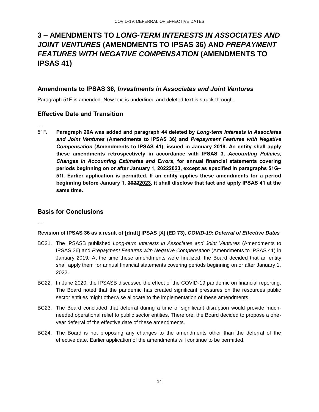# <span id="page-13-0"></span>**3 – AMENDMENTS TO** *LONG-TERM INTERESTS IN ASSOCIATES AND JOINT VENTURES* **(AMENDMENTS TO IPSAS 36) AND** *PREPAYMENT FEATURES WITH NEGATIVE COMPENSATION* **(AMENDMENTS TO IPSAS 41)**

#### **Amendments to IPSAS 36,** *Investments in Associates and Joint Ventures*

Paragraph 51F is amended. New text is underlined and deleted text is struck through.

#### **Effective Date and Transition**

- …
- 51F. **Paragraph 20A was added and paragraph 44 deleted by** *Long-term Interests in Associates and Joint Ventures* **(Amendments to IPSAS 36) and** *Prepayment Features with Negative Compensation* **(Amendments to IPSAS 41), issued in January 2019. An entity shall apply these amendments retrospectively in accordance with IPSAS 3,** *Accounting Policies, Changes in Accounting Estimates and Errors***, for annual financial statements covering periods beginning on or after January 1, 20222023, except as specified in paragraphs 51G– 51I. Earlier application is permitted. If an entity applies these amendments for a period beginning before January 1, 20222023, it shall disclose that fact and apply IPSAS 41 at the same time.**

#### **Basis for Conclusions**

…

#### **Revision of IPSAS 36 as a result of [draft] IPSAS [X] (ED 73),** *COVID-19: Deferral of Effective Dates*

- BC21. The IPSASB published *Long-term Interests in Associates and Joint Ventures* (Amendments to IPSAS 36) and *Prepayment Features with Negative Compensation* (Amendments to IPSAS 41) in January 2019*.* At the time these amendments were finalized, the Board decided that an entity shall apply them for annual financial statements covering periods beginning on or after January 1, 2022.
- BC22. In June 2020, the IPSASB discussed the effect of the COVID-19 pandemic on financial reporting. The Board noted that the pandemic has created significant pressures on the resources public sector entities might otherwise allocate to the implementation of these amendments.
- BC23. The Board concluded that deferral during a time of significant disruption would provide muchneeded operational relief to public sector entities. Therefore, the Board decided to propose a oneyear deferral of the effective date of these amendments.
- BC24. The Board is not proposing any changes to the amendments other than the deferral of the effective date. Earlier application of the amendments will continue to be permitted.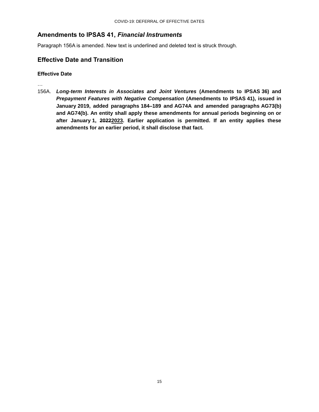#### **Amendments to IPSAS 41,** *Financial Instruments*

Paragraph 156A is amended. New text is underlined and deleted text is struck through.

#### **Effective Date and Transition**

**Effective Date**

…

156A. *Long-term Interests in Associates and Joint Ventures* **(Amendments to IPSAS 36) and** *Prepayment Features with Negative Compensation* **(Amendments to IPSAS 41), issued in January 2019, added paragraphs 184–189 and AG74A and amended paragraphs AG73(b) and AG74(b). An entity shall apply these amendments for annual periods beginning on or after January 1, 20222023. Earlier application is permitted. If an entity applies these amendments for an earlier period, it shall disclose that fact.**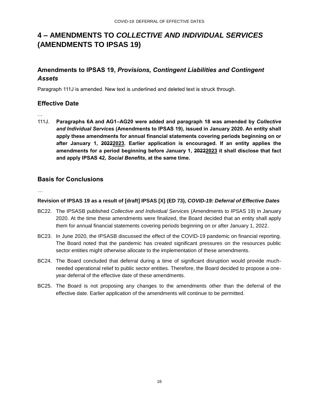# <span id="page-15-0"></span>**4 – AMENDMENTS TO** *COLLECTIVE AND INDIVIDUAL SERVICES* **(AMENDMENTS TO IPSAS 19)**

### **Amendments to IPSAS 19,** *Provisions, Contingent Liabilities and Contingent Assets*

Paragraph 111J is amended. New text is underlined and deleted text is struck through.

#### **Effective Date**

…

111J. **Paragraphs 6A and AG1–AG20 were added and paragraph 18 was amended by** *Collective and Individual Services* **(Amendments to IPSAS 19), issued in January 2020. An entity shall apply these amendments for annual financial statements covering periods beginning on or after January 1, 20222023. Earlier application is encouraged. If an entity applies the amendments for a period beginning before January 1, 20222023 it shall disclose that fact and apply IPSAS 42,** *Social Benefits***, at the same time.**

#### **Basis for Conclusions**

…

#### **Revision of IPSAS 19 as a result of [draft] IPSAS [X] (ED 73),** *COVID-19: Deferral of Effective Dates*

- BC22. The IPSASB published *Collective and Individual Services* (Amendments to IPSAS 19) in January 2020. At the time these amendments were finalized, the Board decided that an entity shall apply them for annual financial statements covering periods beginning on or after January 1, 2022.
- BC23. In June 2020, the IPSASB discussed the effect of the COVID-19 pandemic on financial reporting. The Board noted that the pandemic has created significant pressures on the resources public sector entities might otherwise allocate to the implementation of these amendments.
- BC24. The Board concluded that deferral during a time of significant disruption would provide muchneeded operational relief to public sector entities. Therefore, the Board decided to propose a oneyear deferral of the effective date of these amendments.
- BC25. The Board is not proposing any changes to the amendments other than the deferral of the effective date. Earlier application of the amendments will continue to be permitted.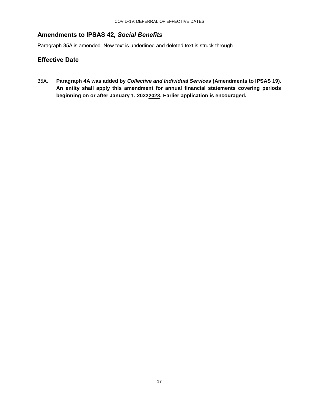#### **Amendments to IPSAS 42,** *Social Benefits*

Paragraph 35A is amended. New text is underlined and deleted text is struck through.

#### **Effective Date**

…

35A. **Paragraph 4A was added by** *Collective and Individual Services* **(Amendments to IPSAS 19). An entity shall apply this amendment for annual financial statements covering periods beginning on or after January 1, 20222023. Earlier application is encouraged.**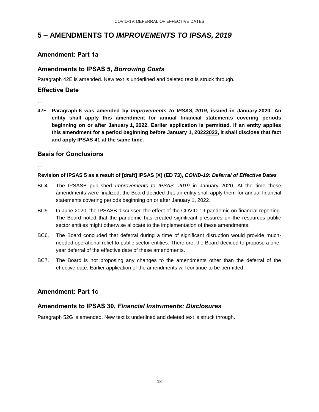### <span id="page-17-0"></span>**5 – AMENDMENTS TO** *IMPROVEMENTS TO IPSAS, 2019*

#### **Amendment: Part 1a**

#### **Amendments to IPSAS 5,** *Borrowing Costs*

Paragraph 42E is amended. New text is underlined and deleted text is struck through.

#### **Effective Date**

…

42E. **Paragraph 6 was amended by** *Improvements to IPSAS, 2019***, issued in January 2020. An entity shall apply this amendment for annual financial statements covering periods beginning on or after January 1, 2022. Earlier application is permitted. If an entity applies this amendment for a period beginning before January 1, 20222023, it shall disclose that fact and apply IPSAS 41 at the same time.**

#### **Basis for Conclusions**

…

#### **Revision of IPSAS 5 as a result of [draft] IPSAS [X] (ED 73),** *COVID-19: Deferral of Effective Dates*

- BC4. The IPSASB published *Improvements to IPSAS, 2019* in January 2020. At the time these amendments were finalized, the Board decided that an entity shall apply them for annual financial statements covering periods beginning on or after January 1, 2022.
- BC5. In June 2020, the IPSASB discussed the effect of the COVID-19 pandemic on financial reporting. The Board noted that the pandemic has created significant pressures on the resources public sector entities might otherwise allocate to the implementation of these amendments.
- BC6. The Board concluded that deferral during a time of significant disruption would provide muchneeded operational relief to public sector entities. Therefore, the Board decided to propose a oneyear deferral of the effective date of these amendments.
- BC7. The Board is not proposing any changes to the amendments other than the deferral of the effective date. Earlier application of the amendments will continue to be permitted.

#### **Amendment: Part 1c**

#### **Amendments to IPSAS 30,** *Financial Instruments: Disclosures*

Paragraph 52G is amended. New text is underlined and deleted text is struck through.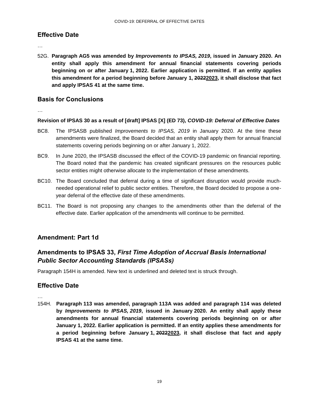#### **Effective Date**

…

52G. **Paragraph AG5 was amended by** *Improvements to IPSAS, 2019***, issued in January 2020. An entity shall apply this amendment for annual financial statements covering periods beginning on or after January 1, 2022. Earlier application is permitted. If an entity applies this amendment for a period beginning before January 1, 20222023, it shall disclose that fact and apply IPSAS 41 at the same time.**

#### **Basis for Conclusions**

…

#### **Revision of IPSAS 30 as a result of [draft] IPSAS [X] (ED 73),** *COVID-19: Deferral of Effective Dates*

- BC8. The IPSASB published *Improvements to IPSAS, 2019* in January 2020. At the time these amendments were finalized, the Board decided that an entity shall apply them for annual financial statements covering periods beginning on or after January 1, 2022.
- BC9. In June 2020, the IPSASB discussed the effect of the COVID-19 pandemic on financial reporting. The Board noted that the pandemic has created significant pressures on the resources public sector entities might otherwise allocate to the implementation of these amendments.
- BC10. The Board concluded that deferral during a time of significant disruption would provide muchneeded operational relief to public sector entities. Therefore, the Board decided to propose a oneyear deferral of the effective date of these amendments.
- BC11. The Board is not proposing any changes to the amendments other than the deferral of the effective date. Earlier application of the amendments will continue to be permitted.

#### **Amendment: Part 1d**

### **Amendments to IPSAS 33,** *First Time Adoption of Accrual Basis International Public Sector Accounting Standards (IPSASs)*

Paragraph 154H is amended. New text is underlined and deleted text is struck through.

#### **Effective Date**

…

154H. **Paragraph 113 was amended, paragraph 113A was added and paragraph 114 was deleted by** *Improvements to IPSAS, 2019***, issued in January 2020. An entity shall apply these amendments for annual financial statements covering periods beginning on or after January 1, 2022. Earlier application is permitted. If an entity applies these amendments for a period beginning before January 1, 20222023, it shall disclose that fact and apply IPSAS 41 at the same time.**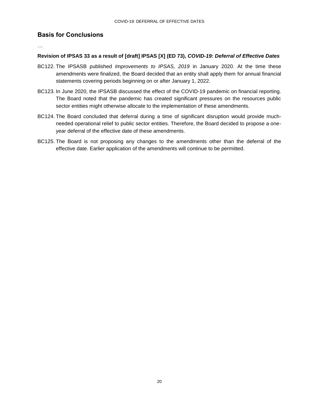#### **Basis for Conclusions**

…

#### **Revision of IPSAS 33 as a result of [draft] IPSAS [X] (ED 73),** *COVID-19: Deferral of Effective Dates*

- BC122. The IPSASB published *Improvements to IPSAS, 2019* in January 2020. At the time these amendments were finalized, the Board decided that an entity shall apply them for annual financial statements covering periods beginning on or after January 1, 2022.
- BC123. In June 2020, the IPSASB discussed the effect of the COVID-19 pandemic on financial reporting. The Board noted that the pandemic has created significant pressures on the resources public sector entities might otherwise allocate to the implementation of these amendments.
- BC124. The Board concluded that deferral during a time of significant disruption would provide muchneeded operational relief to public sector entities. Therefore, the Board decided to propose a oneyear deferral of the effective date of these amendments.
- BC125. The Board is not proposing any changes to the amendments other than the deferral of the effective date. Earlier application of the amendments will continue to be permitted.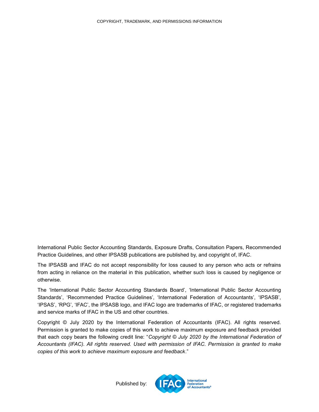<span id="page-20-0"></span>International Public Sector Accounting Standards, Exposure Drafts, Consultation Papers, Recommended Practice Guidelines, and other IPSASB publications are published by, and copyright of, IFAC.

The IPSASB and IFAC do not accept responsibility for loss caused to any person who acts or refrains from acting in reliance on the material in this publication, whether such loss is caused by negligence or otherwise.

The 'International Public Sector Accounting Standards Board', 'International Public Sector Accounting Standards', 'Recommended Practice Guidelines', 'International Federation of Accountants', 'IPSASB', 'IPSAS', 'RPG', 'IFAC', the IPSASB logo, and IFAC logo are trademarks of IFAC, or registered trademarks and service marks of IFAC in the US and other countries.

Copyright © July 2020 by the International Federation of Accountants (IFAC). All rights reserved. Permission is granted to make copies of this work to achieve maximum exposure and feedback provided that each copy bears the following credit line: "*Copyright © July 2020 by the International Federation of Accountants (IFAC). All rights reserved. Used with permission of IFAC. Permission is granted to make copies of this work to achieve maximum exposure and feedback*."